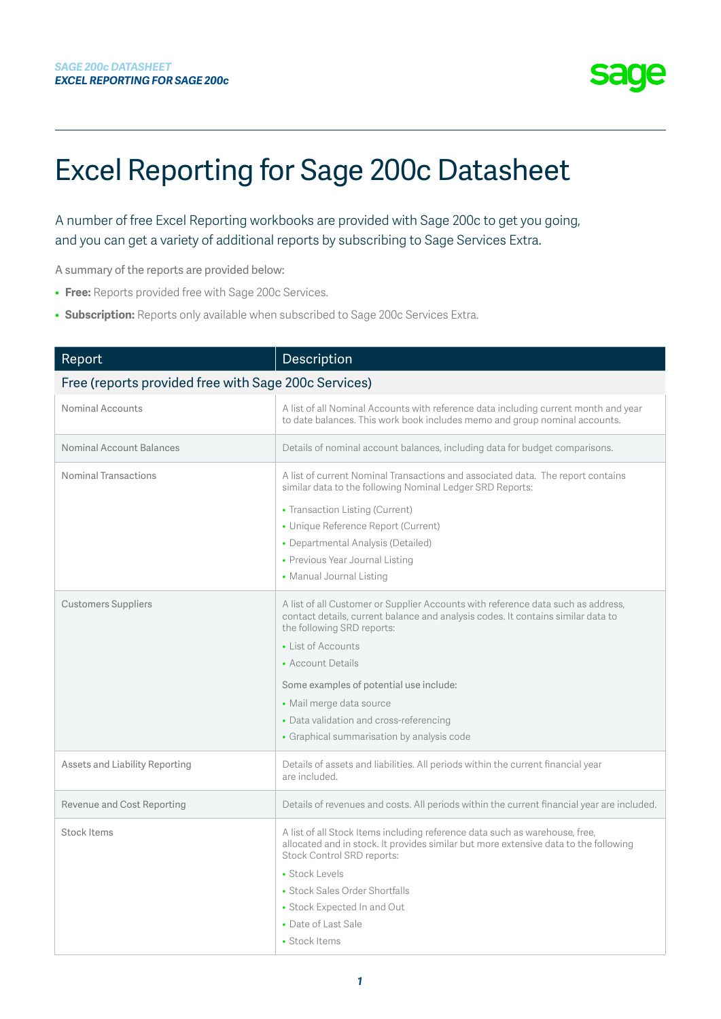

## Excel Reporting for Sage 200c Datasheet

A number of free Excel Reporting workbooks are provided with Sage 200c to get you going, and you can get a variety of additional reports by subscribing to Sage Services Extra.

A summary of the reports are provided below:

- **Free:** Reports provided free with Sage 200c Services.
- **Subscription:** Reports only available when subscribed to Sage 200c Services Extra.

| Report                                               | Description                                                                                                                                                                                                                                                                                                                                                                                                   |  |
|------------------------------------------------------|---------------------------------------------------------------------------------------------------------------------------------------------------------------------------------------------------------------------------------------------------------------------------------------------------------------------------------------------------------------------------------------------------------------|--|
| Free (reports provided free with Sage 200c Services) |                                                                                                                                                                                                                                                                                                                                                                                                               |  |
| Nominal Accounts                                     | A list of all Nominal Accounts with reference data including current month and year<br>to date balances. This work book includes memo and group nominal accounts.                                                                                                                                                                                                                                             |  |
| Nominal Account Balances                             | Details of nominal account balances, including data for budget comparisons.                                                                                                                                                                                                                                                                                                                                   |  |
| Nominal Transactions                                 | A list of current Nominal Transactions and associated data. The report contains<br>similar data to the following Nominal Ledger SRD Reports:                                                                                                                                                                                                                                                                  |  |
|                                                      | • Transaction Listing (Current)                                                                                                                                                                                                                                                                                                                                                                               |  |
|                                                      | • Unique Reference Report (Current)                                                                                                                                                                                                                                                                                                                                                                           |  |
|                                                      | • Departmental Analysis (Detailed)                                                                                                                                                                                                                                                                                                                                                                            |  |
|                                                      | • Previous Year Journal Listing                                                                                                                                                                                                                                                                                                                                                                               |  |
|                                                      | • Manual Journal Listing                                                                                                                                                                                                                                                                                                                                                                                      |  |
| <b>Customers Suppliers</b>                           | A list of all Customer or Supplier Accounts with reference data such as address,<br>contact details, current balance and analysis codes. It contains similar data to<br>the following SRD reports:<br>• List of Accounts<br>• Account Details<br>Some examples of potential use include:<br>• Mail merge data source<br>• Data validation and cross-referencing<br>• Graphical summarisation by analysis code |  |
| Assets and Liability Reporting                       | Details of assets and liabilities. All periods within the current financial year<br>are included.                                                                                                                                                                                                                                                                                                             |  |
| Revenue and Cost Reporting                           | Details of revenues and costs. All periods within the current financial year are included.                                                                                                                                                                                                                                                                                                                    |  |
| <b>Stock Items</b>                                   | A list of all Stock Items including reference data such as warehouse, free,<br>allocated and in stock. It provides similar but more extensive data to the following<br>Stock Control SRD reports:<br>• Stock Levels<br>• Stock Sales Order Shortfalls<br>• Stock Expected In and Out<br>• Date of Last Sale<br>• Stock Items                                                                                  |  |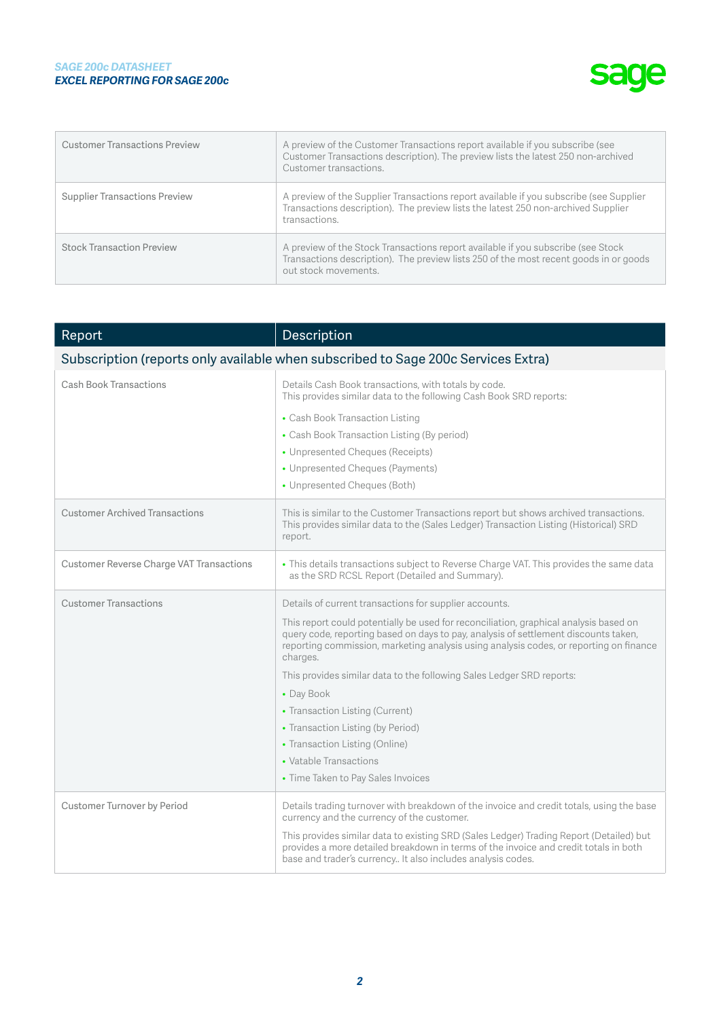## *SAGE 200c DATASHEET EXCEL REPORTING FOR SAGE 200c*



| <b>Customer Transactions Preview</b> | A preview of the Customer Transactions report available if you subscribe (see<br>Customer Transactions description). The preview lists the latest 250 non-archived<br>Customer transactions.       |
|--------------------------------------|----------------------------------------------------------------------------------------------------------------------------------------------------------------------------------------------------|
| <b>Supplier Transactions Preview</b> | A preview of the Supplier Transactions report available if you subscribe (see Supplier<br>Transactions description). The preview lists the latest 250 non-archived Supplier<br>transactions.       |
| <b>Stock Transaction Preview</b>     | A preview of the Stock Transactions report available if you subscribe (see Stock)<br>Transactions description). The preview lists 250 of the most recent goods in or goods<br>out stock movements. |

| Report                                                                            | Description                                                                                                                                                                                                                                                                        |  |
|-----------------------------------------------------------------------------------|------------------------------------------------------------------------------------------------------------------------------------------------------------------------------------------------------------------------------------------------------------------------------------|--|
| Subscription (reports only available when subscribed to Sage 200c Services Extra) |                                                                                                                                                                                                                                                                                    |  |
| Cash Book Transactions                                                            | Details Cash Book transactions, with totals by code.<br>This provides similar data to the following Cash Book SRD reports:                                                                                                                                                         |  |
|                                                                                   | • Cash Book Transaction Listing                                                                                                                                                                                                                                                    |  |
|                                                                                   | • Cash Book Transaction Listing (By period)                                                                                                                                                                                                                                        |  |
|                                                                                   | • Unpresented Cheques (Receipts)                                                                                                                                                                                                                                                   |  |
|                                                                                   | • Unpresented Cheques (Payments)                                                                                                                                                                                                                                                   |  |
|                                                                                   | • Unpresented Cheques (Both)                                                                                                                                                                                                                                                       |  |
| <b>Customer Archived Transactions</b>                                             | This is similar to the Customer Transactions report but shows archived transactions.<br>This provides similar data to the (Sales Ledger) Transaction Listing (Historical) SRD<br>report.                                                                                           |  |
| <b>Customer Reverse Charge VAT Transactions</b>                                   | • This details transactions subject to Reverse Charge VAT. This provides the same data<br>as the SRD RCSL Report (Detailed and Summary).                                                                                                                                           |  |
| <b>Customer Transactions</b>                                                      | Details of current transactions for supplier accounts.                                                                                                                                                                                                                             |  |
|                                                                                   | This report could potentially be used for reconciliation, graphical analysis based on<br>query code, reporting based on days to pay, analysis of settlement discounts taken,<br>reporting commission, marketing analysis using analysis codes, or reporting on finance<br>charges. |  |
|                                                                                   | This provides similar data to the following Sales Ledger SRD reports:                                                                                                                                                                                                              |  |
|                                                                                   | • Day Book                                                                                                                                                                                                                                                                         |  |
|                                                                                   | • Transaction Listing (Current)                                                                                                                                                                                                                                                    |  |
|                                                                                   | • Transaction Listing (by Period)                                                                                                                                                                                                                                                  |  |
|                                                                                   | • Transaction Listing (Online)                                                                                                                                                                                                                                                     |  |
|                                                                                   | • Vatable Transactions                                                                                                                                                                                                                                                             |  |
|                                                                                   | • Time Taken to Pay Sales Invoices                                                                                                                                                                                                                                                 |  |
| Customer Turnover by Period                                                       | Details trading turnover with breakdown of the invoice and credit totals, using the base<br>currency and the currency of the customer.                                                                                                                                             |  |
|                                                                                   | This provides similar data to existing SRD (Sales Ledger) Trading Report (Detailed) but<br>provides a more detailed breakdown in terms of the invoice and credit totals in both<br>base and trader's currency It also includes analysis codes.                                     |  |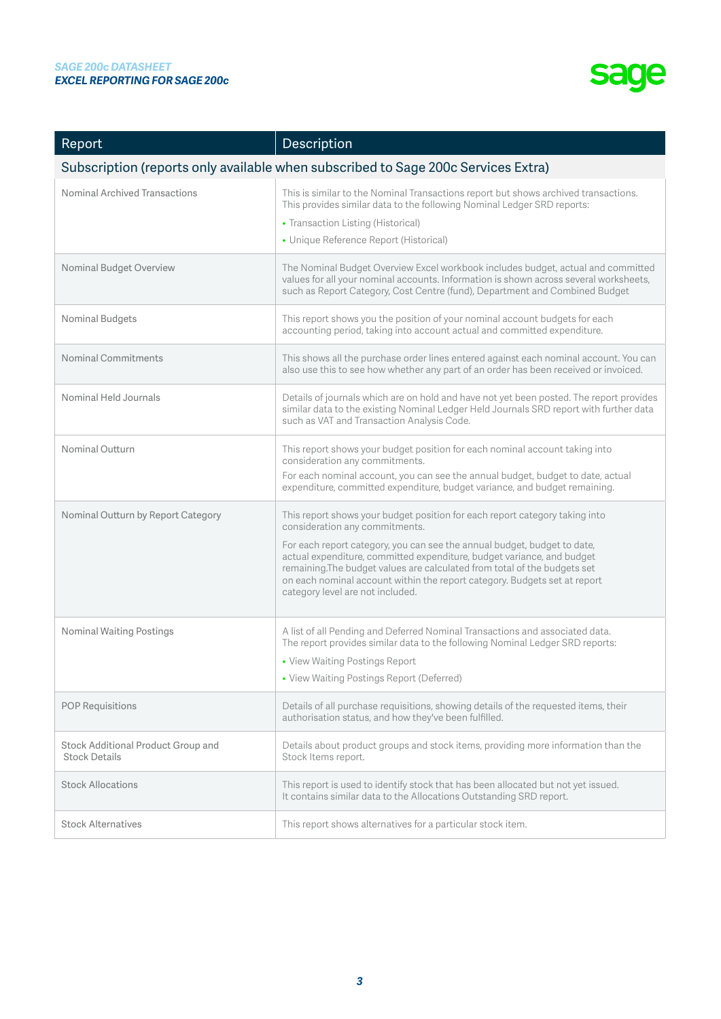

| Report                                                                            | Description                                                                                                                                                                                                                                                                                                                                                                                                                                                       |  |
|-----------------------------------------------------------------------------------|-------------------------------------------------------------------------------------------------------------------------------------------------------------------------------------------------------------------------------------------------------------------------------------------------------------------------------------------------------------------------------------------------------------------------------------------------------------------|--|
| Subscription (reports only available when subscribed to Sage 200c Services Extra) |                                                                                                                                                                                                                                                                                                                                                                                                                                                                   |  |
| Nominal Archived Transactions                                                     | This is similar to the Nominal Transactions report but shows archived transactions.<br>This provides similar data to the following Nominal Ledger SRD reports:<br>• Transaction Listing (Historical)<br>• Unique Reference Report (Historical)                                                                                                                                                                                                                    |  |
| Nominal Budget Overview                                                           | The Nominal Budget Overview Excel workbook includes budget, actual and committed<br>values for all your nominal accounts. Information is shown across several worksheets,<br>such as Report Category, Cost Centre (fund), Department and Combined Budget                                                                                                                                                                                                          |  |
| Nominal Budgets                                                                   | This report shows you the position of your nominal account budgets for each<br>accounting period, taking into account actual and committed expenditure.                                                                                                                                                                                                                                                                                                           |  |
| <b>Nominal Commitments</b>                                                        | This shows all the purchase order lines entered against each nominal account. You can<br>also use this to see how whether any part of an order has been received or invoiced.                                                                                                                                                                                                                                                                                     |  |
| Nominal Held Journals                                                             | Details of journals which are on hold and have not yet been posted. The report provides<br>similar data to the existing Nominal Ledger Held Journals SRD report with further data<br>such as VAT and Transaction Analysis Code.                                                                                                                                                                                                                                   |  |
| Nominal Outturn                                                                   | This report shows your budget position for each nominal account taking into<br>consideration any commitments.<br>For each nominal account, you can see the annual budget, budget to date, actual<br>expenditure, committed expenditure, budget variance, and budget remaining.                                                                                                                                                                                    |  |
| Nominal Outturn by Report Category                                                | This report shows your budget position for each report category taking into<br>consideration any commitments.<br>For each report category, you can see the annual budget, budget to date,<br>actual expenditure, committed expenditure, budget variance, and budget<br>remaining. The budget values are calculated from total of the budgets set<br>on each nominal account within the report category. Budgets set at report<br>category level are not included. |  |
| <b>Nominal Waiting Postings</b>                                                   | A list of all Pending and Deferred Nominal Transactions and associated data.<br>The report provides similar data to the following Nominal Ledger SRD reports:<br>• View Waiting Postings Report<br>• View Waiting Postings Report (Deferred)                                                                                                                                                                                                                      |  |
| <b>POP Requisitions</b>                                                           | Details of all purchase requisitions, showing details of the requested items, their<br>authorisation status, and how they've been fulfilled.                                                                                                                                                                                                                                                                                                                      |  |
| Stock Additional Product Group and<br><b>Stock Details</b>                        | Details about product groups and stock items, providing more information than the<br>Stock Items report.                                                                                                                                                                                                                                                                                                                                                          |  |
| <b>Stock Allocations</b>                                                          | This report is used to identify stock that has been allocated but not yet issued.<br>It contains similar data to the Allocations Outstanding SRD report.                                                                                                                                                                                                                                                                                                          |  |
| <b>Stock Alternatives</b>                                                         | This report shows alternatives for a particular stock item.                                                                                                                                                                                                                                                                                                                                                                                                       |  |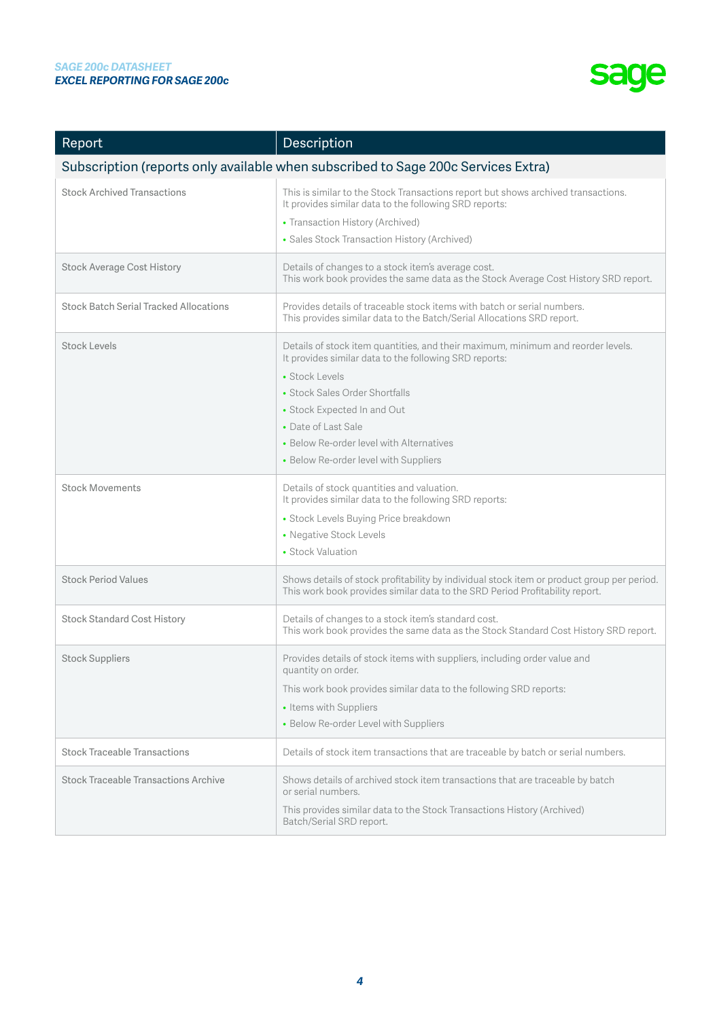

| Report                                        | Description                                                                                                                                                                                                                                                                                                                               |
|-----------------------------------------------|-------------------------------------------------------------------------------------------------------------------------------------------------------------------------------------------------------------------------------------------------------------------------------------------------------------------------------------------|
|                                               | Subscription (reports only available when subscribed to Sage 200c Services Extra)                                                                                                                                                                                                                                                         |
| <b>Stock Archived Transactions</b>            | This is similar to the Stock Transactions report but shows archived transactions.<br>It provides similar data to the following SRD reports:<br>• Transaction History (Archived)<br>• Sales Stock Transaction History (Archived)                                                                                                           |
| <b>Stock Average Cost History</b>             | Details of changes to a stock item's average cost.<br>This work book provides the same data as the Stock Average Cost History SRD report.                                                                                                                                                                                                 |
| <b>Stock Batch Serial Tracked Allocations</b> | Provides details of traceable stock items with batch or serial numbers.<br>This provides similar data to the Batch/Serial Allocations SRD report.                                                                                                                                                                                         |
| <b>Stock Levels</b>                           | Details of stock item quantities, and their maximum, minimum and reorder levels.<br>It provides similar data to the following SRD reports:<br>• Stock Levels<br>• Stock Sales Order Shortfalls<br>• Stock Expected In and Out<br>• Date of Last Sale<br>• Below Re-order level with Alternatives<br>• Below Re-order level with Suppliers |
| <b>Stock Movements</b>                        | Details of stock quantities and valuation.<br>It provides similar data to the following SRD reports:<br>• Stock Levels Buying Price breakdown<br>• Negative Stock Levels<br>• Stock Valuation                                                                                                                                             |
| <b>Stock Period Values</b>                    | Shows details of stock profitability by individual stock item or product group per period.<br>This work book provides similar data to the SRD Period Profitability report.                                                                                                                                                                |
| <b>Stock Standard Cost History</b>            | Details of changes to a stock item's standard cost.<br>This work book provides the same data as the Stock Standard Cost History SRD report.                                                                                                                                                                                               |
| <b>Stock Suppliers</b>                        | Provides details of stock items with suppliers, including order value and<br>quantity on order.<br>This work book provides similar data to the following SRD reports:<br>• Items with Suppliers<br>• Below Re-order Level with Suppliers                                                                                                  |
| <b>Stock Traceable Transactions</b>           | Details of stock item transactions that are traceable by batch or serial numbers.                                                                                                                                                                                                                                                         |
| <b>Stock Traceable Transactions Archive</b>   | Shows details of archived stock item transactions that are traceable by batch<br>or serial numbers.<br>This provides similar data to the Stock Transactions History (Archived)<br>Batch/Serial SRD report.                                                                                                                                |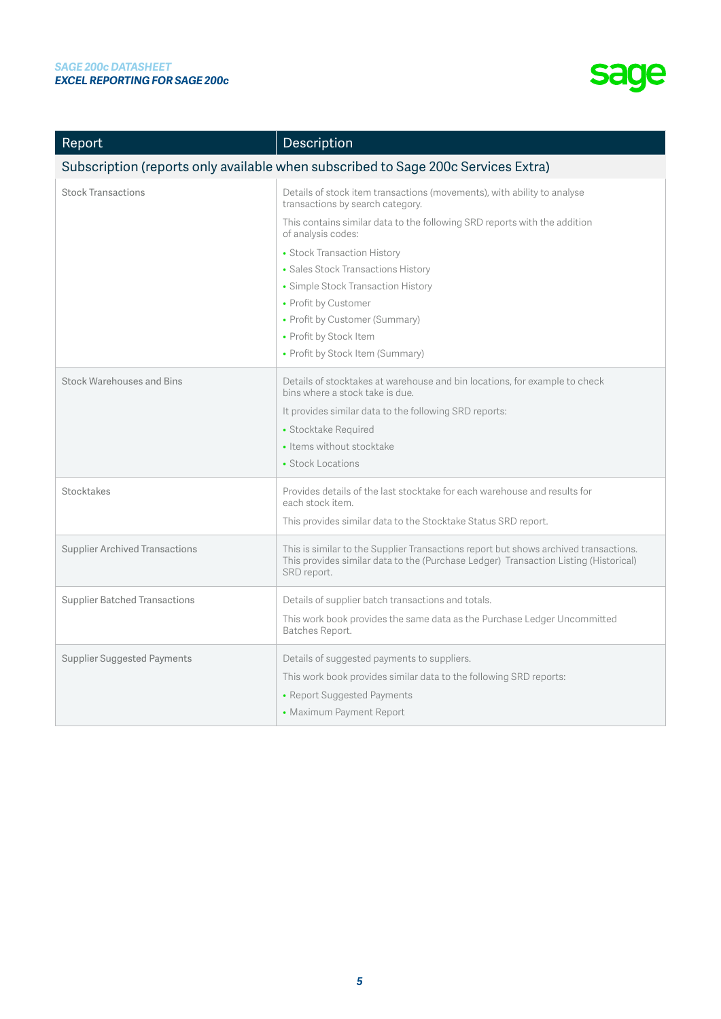